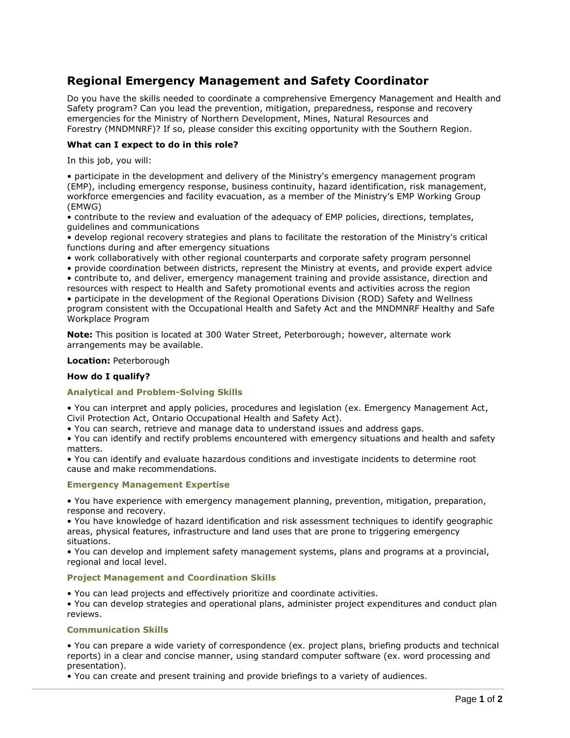# **Regional Emergency Management and Safety Coordinator**

Do you have the skills needed to coordinate a comprehensive Emergency Management and Health and Safety program? Can you lead the prevention, mitigation, preparedness, response and recovery emergencies for the Ministry of Northern Development, Mines, Natural Resources and Forestry (MNDMNRF)? If so, please consider this exciting opportunity with the Southern Region.

# **What can I expect to do in this role?**

In this job, you will:

• participate in the development and delivery of the Ministry's emergency management program (EMP), including emergency response, business continuity, hazard identification, risk management, workforce emergencies and facility evacuation, as a member of the Ministry's EMP Working Group (EMWG)

• contribute to the review and evaluation of the adequacy of EMP policies, directions, templates, guidelines and communications

• develop regional recovery strategies and plans to facilitate the restoration of the Ministry's critical functions during and after emergency situations

• work collaboratively with other regional counterparts and corporate safety program personnel

• provide coordination between districts, represent the Ministry at events, and provide expert advice • contribute to, and deliver, emergency management training and provide assistance, direction and resources with respect to Health and Safety promotional events and activities across the region

• participate in the development of the Regional Operations Division (ROD) Safety and Wellness program consistent with the Occupational Health and Safety Act and the MNDMNRF Healthy and Safe Workplace Program

**Note:** This position is located at 300 Water Street, Peterborough; however, alternate work arrangements may be available.

## **Location:** Peterborough

# **How do I qualify?**

# **Analytical and Problem-Solving Skills**

• You can interpret and apply policies, procedures and legislation (ex. Emergency Management Act, Civil Protection Act, Ontario Occupational Health and Safety Act).

• You can search, retrieve and manage data to understand issues and address gaps.

• You can identify and rectify problems encountered with emergency situations and health and safety matters.

• You can identify and evaluate hazardous conditions and investigate incidents to determine root cause and make recommendations.

# **Emergency Management Expertise**

• You have experience with emergency management planning, prevention, mitigation, preparation, response and recovery.

• You have knowledge of hazard identification and risk assessment techniques to identify geographic areas, physical features, infrastructure and land uses that are prone to triggering emergency situations.

• You can develop and implement safety management systems, plans and programs at a provincial, regional and local level.

# **Project Management and Coordination Skills**

• You can lead projects and effectively prioritize and coordinate activities.

• You can develop strategies and operational plans, administer project expenditures and conduct plan reviews.

#### **Communication Skills**

• You can prepare a wide variety of correspondence (ex. project plans, briefing products and technical reports) in a clear and concise manner, using standard computer software (ex. word processing and presentation).

• You can create and present training and provide briefings to a variety of audiences.